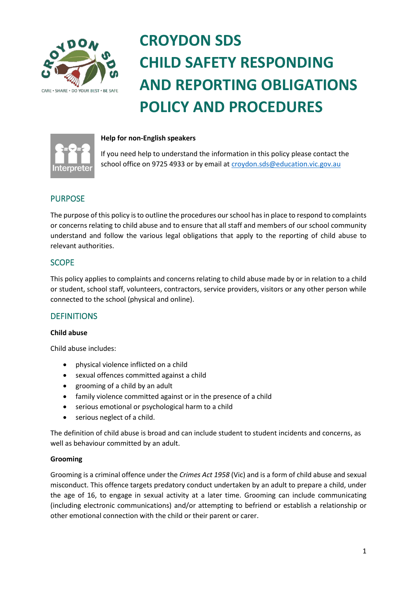

# **CROYDON SDS CHILD SAFETY RESPONDING AND REPORTING OBLIGATIONS POLICY AND PROCEDURES**



### **Help for non-English speakers**

If you need help to understand the information in this policy please contact the school office on 9725 4933 or by email a[t croydon.sds@education.vic.gov.au](mailto:croydon.sds@education.vic.gov.au)

# PURPOSE

The purpose of this policy is to outline the procedures our school has in place to respond to complaints or concerns relating to child abuse and to ensure that all staff and members of our school community understand and follow the various legal obligations that apply to the reporting of child abuse to relevant authorities.

# SCOPE

This policy applies to complaints and concerns relating to child abuse made by or in relation to a child or student, school staff, volunteers, contractors, service providers, visitors or any other person while connected to the school (physical and online).

# **DEFINITIONS**

### **Child abuse**

Child abuse includes:

- physical violence inflicted on a child
- sexual offences committed against a child
- grooming of a child by an adult
- family violence committed against or in the presence of a child
- serious emotional or psychological harm to a child
- serious neglect of a child.

The definition of child abuse is broad and can include student to student incidents and concerns, as well as behaviour committed by an adult.

#### **Grooming**

Grooming is a criminal offence under the *Crimes Act 1958* (Vic) and is a form of child abuse and sexual misconduct. This offence targets predatory conduct undertaken by an adult to prepare a child, under the age of 16, to engage in sexual activity at a later time. Grooming can include communicating (including electronic communications) and/or attempting to befriend or establish a relationship or other emotional connection with the child or their parent or carer.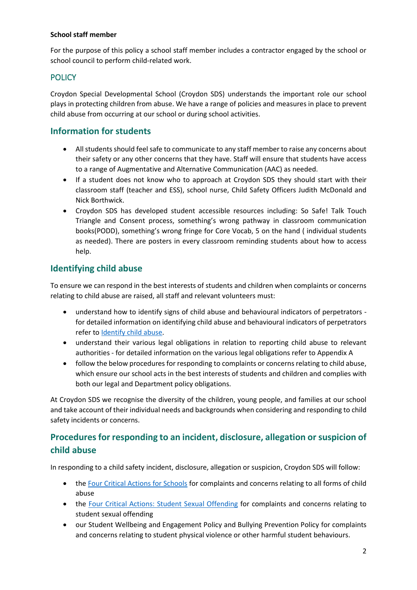### **School staff member**

For the purpose of this policy a school staff member includes a contractor engaged by the school or school council to perform child-related work.

# **POLICY**

Croydon Special Developmental School (Croydon SDS) understands the important role our school plays in protecting children from abuse. We have a range of policies and measures in place to prevent child abuse from occurring at our school or during school activities.

# **Information for students**

- All students should feel safe to communicate to any staff member to raise any concerns about their safety or any other concerns that they have. Staff will ensure that students have access to a range of Augmentative and Alternative Communication (AAC) as needed.
- If a student does not know who to approach at Croydon SDS they should start with their classroom staff (teacher and ESS), school nurse, Child Safety Officers Judith McDonald and Nick Borthwick.
- Croydon SDS has developed student accessible resources including: So Safe! Talk Touch Triangle and Consent process, something's wrong pathway in classroom communication books(PODD), something's wrong fringe for Core Vocab, 5 on the hand ( individual students as needed). There are posters in every classroom reminding students about how to access help.

# **Identifying child abuse**

To ensure we can respond in the best interests of students and children when complaints or concerns relating to child abuse are raised, all staff and relevant volunteers must:

- understand how to identify signs of child abuse and behavioural indicators of perpetrators for detailed information on identifying child abuse and behavioural indicators of perpetrators refer to [Identify child abuse.](https://www.education.vic.gov.au/school/teachers/health/childprotection/Pages/identify.aspx)
- understand their various legal obligations in relation to reporting child abuse to relevant authorities - for detailed information on the various legal obligations refer to Appendix A
- follow the below procedures for responding to complaints or concerns relating to child abuse, which ensure our school acts in the best interests of students and children and complies with both our legal and Department policy obligations.

At Croydon SDS we recognise the diversity of the children, young people, and families at our school and take account of their individual needs and backgrounds when considering and responding to child safety incidents or concerns.

# **Procedures for responding to an incident, disclosure, allegation or suspicion of child abuse**

In responding to a child safety incident, disclosure, allegation or suspicion, Croydon SDS will follow:

- th[e Four Critical Actions for Schools](https://www.education.vic.gov.au/Documents/about/programs/health/protect/FourCriticalActions_ChildAbuse.pdf) for complaints and concerns relating to all forms of child abuse
- the [Four Critical Actions: Student Sexual Offending](https://www.education.vic.gov.au/school/teachers/health/childprotection/Pages/stusexual.aspx) for complaints and concerns relating to student sexual offending
- our Student Wellbeing and Engagement Policy and Bullying Prevention Policy for complaints and concerns relating to student physical violence or other harmful student behaviours.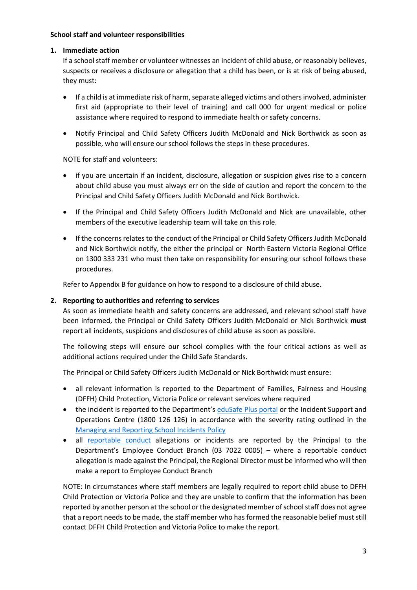### **School staff and volunteer responsibilities**

### **1. Immediate action**

If a school staff member or volunteer witnesses an incident of child abuse, or reasonably believes, suspects or receives a disclosure or allegation that a child has been, or is at risk of being abused, they must:

- If a child is at immediate risk of harm, separate alleged victims and others involved, administer first aid (appropriate to their level of training) and call 000 for urgent medical or police assistance where required to respond to immediate health or safety concerns.
- Notify Principal and Child Safety Officers Judith McDonald and Nick Borthwick as soon as possible, who will ensure our school follows the steps in these procedures.

NOTE for staff and volunteers:

- if you are uncertain if an incident, disclosure, allegation or suspicion gives rise to a concern about child abuse you must always err on the side of caution and report the concern to the Principal and Child Safety Officers Judith McDonald and Nick Borthwick.
- If the Principal and Child Safety Officers Judith McDonald and Nick are unavailable, other members of the executive leadership team will take on this role.
- If the concerns relates to the conduct of the Principal or Child Safety Officers Judith McDonald and Nick Borthwick notify, the either the principal or North Eastern Victoria Regional Office on 1300 333 231 who must then take on responsibility for ensuring our school follows these procedures.

Refer to Appendix B for guidance on how to respond to a disclosure of child abuse.

### **2. Reporting to authorities and referring to services**

As soon as immediate health and safety concerns are addressed, and relevant school staff have been informed, the Principal or Child Safety Officers Judith McDonald or Nick Borthwick **must** report all incidents, suspicions and disclosures of child abuse as soon as possible.

The following steps will ensure our school complies with the four critical actions as well as additional actions required under the Child Safe Standards.

The Principal or Child Safety Officers Judith McDonald or Nick Borthwick must ensure:

- all relevant information is reported to the Department of Families, Fairness and Housing (DFFH) Child Protection, Victoria Police or relevant services where required
- the incident is reported to the Department's [eduSafe Plus portal](https://services.educationapps.vic.gov.au/edusafeplus) or the Incident Support and Operations Centre (1800 126 126) in accordance with the severity rating outlined in the [Managing and Reporting School Incidents Policy](https://www2.education.vic.gov.au/pal/reporting-and-managing-school-incidents-including-emergencies/policy)
- all [reportable conduct](https://www2.education.vic.gov.au/pal/reportable-conduct-scheme/policy) allegations or incidents are reported by the Principal to the Department's Employee Conduct Branch (03 7022 0005) – where a reportable conduct allegation is made against the Principal, the Regional Director must be informed who will then make a report to Employee Conduct Branch

NOTE: In circumstances where staff members are legally required to report child abuse to DFFH Child Protection or Victoria Police and they are unable to confirm that the information has been reported by another person at the school or the designated member of school staff does not agree that a report needs to be made, the staff member who has formed the reasonable belief must still contact DFFH Child Protection and Victoria Police to make the report.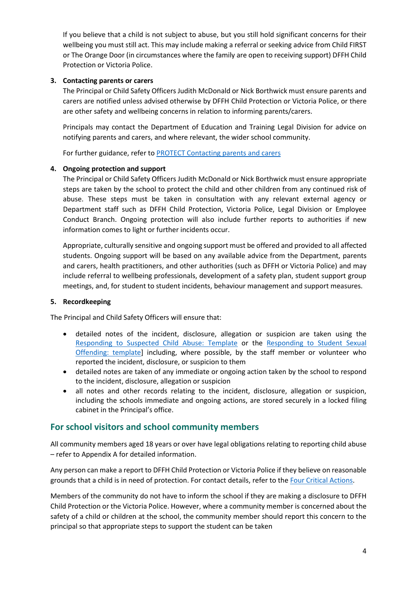If you believe that a child is not subject to abuse, but you still hold significant concerns for their wellbeing you must still act. This may include making a referral or seeking advice from Child FIRST or The Orange Door (in circumstances where the family are open to receiving support) DFFH Child Protection or Victoria Police.

### **3. Contacting parents or carers**

The Principal or Child Safety Officers Judith McDonald or Nick Borthwick must ensure parents and carers are notified unless advised otherwise by DFFH Child Protection or Victoria Police, or there are other safety and wellbeing concerns in relation to informing parents/carers.

Principals may contact the Department of Education and Training Legal Division for advice on notifying parents and carers, and where relevant, the wider school community.

For further guidance, refer to [PROTECT Contacting parents and carers](https://www.education.vic.gov.au/school/teachers/health/childprotection/Pages/actionthree.aspx)

### **4. Ongoing protection and support**

The Principal or Child Safety Officers Judith McDonald or Nick Borthwick must ensure appropriate steps are taken by the school to protect the child and other children from any continued risk of abuse. These steps must be taken in consultation with any relevant external agency or Department staff such as DFFH Child Protection, Victoria Police, Legal Division or Employee Conduct Branch. Ongoing protection will also include further reports to authorities if new information comes to light or further incidents occur.

Appropriate, culturally sensitive and ongoing support must be offered and provided to all affected students. Ongoing support will be based on any available advice from the Department, parents and carers, health practitioners, and other authorities (such as DFFH or Victoria Police) and may include referral to wellbeing professionals, development of a safety plan, student support group meetings, and, for student to student incidents, behaviour management and support measures.

#### **5. Recordkeeping**

The Principal and Child Safety Officers will ensure that:

- detailed notes of the incident, disclosure, allegation or suspicion are taken using the [Responding to Suspected Child Abuse: Template](https://www.education.vic.gov.au/Documents/about/programs/health/protect/PROTECT_Schoolstemplate.pdf) or the [Responding to Student Sexual](https://www.education.vic.gov.au/Documents/about/programs/health/protect/SSO_ReportingTemplate.docx)  [Offending: template\]](https://www.education.vic.gov.au/Documents/about/programs/health/protect/SSO_ReportingTemplate.docx) including, where possible, by the staff member or volunteer who reported the incident, disclosure, or suspicion to them
- detailed notes are taken of any immediate or ongoing action taken by the school to respond to the incident, disclosure, allegation or suspicion
- all notes and other records relating to the incident, disclosure, allegation or suspicion, including the schools immediate and ongoing actions, are stored securely in a locked filing cabinet in the Principal's office.

### **For school visitors and school community members**

All community members aged 18 years or over have legal obligations relating to reporting child abuse – refer to Appendix A for detailed information.

Any person can make a report to DFFH Child Protection or Victoria Police if they believe on reasonable grounds that a child is in need of protection. For contact details, refer to the [Four Critical Actions.](https://www.education.vic.gov.au/Documents/about/programs/health/protect/FourCriticalActions_ChildAbuse.pdf)

Members of the community do not have to inform the school if they are making a disclosure to DFFH Child Protection or the Victoria Police. However, where a community member is concerned about the safety of a child or children at the school, the community member should report this concern to the principal so that appropriate steps to support the student can be taken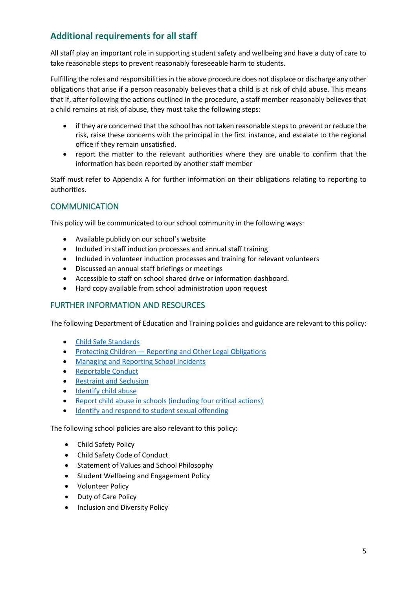# **Additional requirements for all staff**

All staff play an important role in supporting student safety and wellbeing and have a duty of care to take reasonable steps to prevent reasonably foreseeable harm to students.

Fulfilling the roles and responsibilities in the above procedure does not displace or discharge any other obligations that arise if a person reasonably believes that a child is at risk of child abuse. This means that if, after following the actions outlined in the procedure, a staff member reasonably believes that a child remains at risk of abuse, they must take the following steps:

- if they are concerned that the school has not taken reasonable steps to prevent or reduce the risk, raise these concerns with the principal in the first instance, and escalate to the regional office if they remain unsatisfied.
- report the matter to the relevant authorities where they are unable to confirm that the information has been reported by another staff member

Staff must refer to Appendix A for further information on their obligations relating to reporting to authorities.

# **COMMUNICATION**

This policy will be communicated to our school community in the following ways:

- Available publicly on our school's website
- Included in staff induction processes and annual staff training
- Included in volunteer induction processes and training for relevant volunteers
- Discussed an annual staff briefings or meetings
- Accessible to staff on school shared drive or information dashboard.
- Hard copy available from school administration upon request

### FURTHER INFORMATION AND RESOURCES

The following Department of Education and Training policies and guidance are relevant to this policy:

- [Child Safe Standards](https://www2.education.vic.gov.au/pal/child-safe-standards/policy)
- Protecting Children [Reporting and Other Legal Obligations](https://www2.education.vic.gov.au/pal/protecting-children/policy)
- [Managing and Reporting School Incidents](https://www2.education.vic.gov.au/pal/reporting-and-managing-school-incidents-including-emergencies/policy)
- [Reportable Conduct](https://www2.education.vic.gov.au/pal/reportable-conduct-scheme/policy)
- [Restraint and Seclusion](https://www2.education.vic.gov.au/pal/restraint-seclusion/policy)
- [Identify child abuse](https://www.education.vic.gov.au/school/teachers/health/childprotection/Pages/identify.aspx)
- [Report child abuse in schools \(including four critical actions\)](https://www.education.vic.gov.au/school/teachers/health/childprotection/Pages/report.aspx)
- [Identify and respond to student sexual offending](https://www.education.vic.gov.au/school/teachers/health/childprotection/Pages/stusexual.aspx)

The following school policies are also relevant to this policy:

- Child Safety Policy
- Child Safety Code of Conduct
- Statement of Values and School Philosophy
- Student Wellbeing and Engagement Policy
- Volunteer Policy
- Duty of Care Policy
- Inclusion and Diversity Policy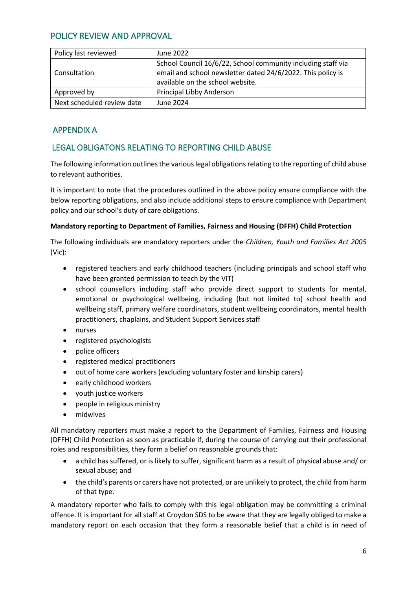# POLICY REVIEW AND APPROVAL

| Policy last reviewed       | June 2022                                                                                                                                                       |
|----------------------------|-----------------------------------------------------------------------------------------------------------------------------------------------------------------|
| Consultation               | School Council 16/6/22, School community including staff via<br>email and school newsletter dated 24/6/2022. This policy is<br>available on the school website. |
| Approved by                | Principal Libby Anderson                                                                                                                                        |
| Next scheduled review date | June 2024                                                                                                                                                       |

# APPENDIX A

# LEGAL OBLIGATONS RELATING TO REPORTING CHILD ABUSE

The following information outlines the various legal obligations relating to the reporting of child abuse to relevant authorities.

It is important to note that the procedures outlined in the above policy ensure compliance with the below reporting obligations, and also include additional steps to ensure compliance with Department policy and our school's duty of care obligations.

### **Mandatory reporting to Department of Families, Fairness and Housing (DFFH) Child Protection**

The following individuals are mandatory reporters under the *Children, Youth and Families Act 2005* (Vic):

- registered teachers and early childhood teachers (including principals and school staff who have been granted permission to teach by the VIT)
- school counsellors including staff who provide direct support to students for mental, emotional or psychological wellbeing, including (but not limited to) school health and wellbeing staff, primary welfare coordinators, student wellbeing coordinators, mental health practitioners, chaplains, and Student Support Services staff
- nurses
- registered psychologists
- police officers
- registered medical practitioners
- out of home care workers (excluding voluntary foster and kinship carers)
- early childhood workers
- youth justice workers
- people in religious ministry
- midwives

All mandatory reporters must make a report to the Department of Families, Fairness and Housing (DFFH) Child Protection as soon as practicable if, during the course of carrying out their professional roles and responsibilities, they form a belief on reasonable grounds that:

- a child has suffered, or is likely to suffer, significant harm as a result of physical abuse and/ or sexual abuse; and
- the child's parents or carers have not protected, or are unlikely to protect, the child from harm of that type.

A mandatory reporter who fails to comply with this legal obligation may be committing a criminal offence. It is important for all staff at Croydon SDS to be aware that they are legally obliged to make a mandatory report on each occasion that they form a reasonable belief that a child is in need of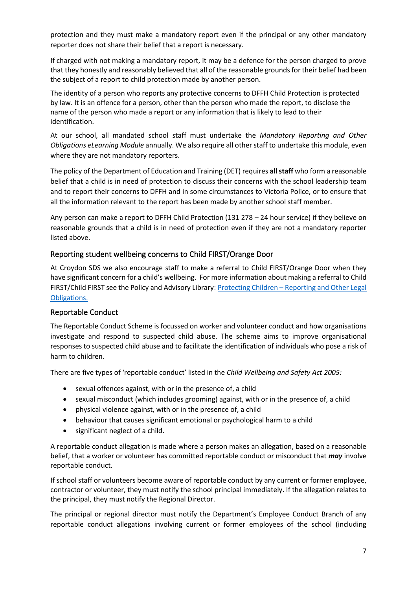protection and they must make a mandatory report even if the principal or any other mandatory reporter does not share their belief that a report is necessary.

If charged with not making a mandatory report, it may be a defence for the person charged to prove that they honestly and reasonably believed that all of the reasonable grounds for their belief had been the subject of a report to child protection made by another person.

The identity of a person who reports any protective concerns to DFFH Child Protection is protected by law. It is an offence for a person, other than the person who made the report, to disclose the name of the person who made a report or any information that is likely to lead to their identification.

At our school, all mandated school staff must undertake the *Mandatory Reporting and Other Obligations eLearning Module* annually. We also require all other staff to undertake this module, even where they are not mandatory reporters.

The policy of the Department of Education and Training (DET) requires **all staff** who form a reasonable belief that a child is in need of protection to discuss their concerns with the school leadership team and to report their concerns to DFFH and in some circumstances to Victoria Police, or to ensure that all the information relevant to the report has been made by another school staff member.

Any person can make a report to DFFH Child Protection (131 278 – 24 hour service) if they believe on reasonable grounds that a child is in need of protection even if they are not a mandatory reporter listed above.

### Reporting student wellbeing concerns to Child FIRST/Orange Door

At Croydon SDS we also encourage staff to make a referral to Child FIRST/Orange Door when they have significant concern for a child's wellbeing. For more information about making a referral to Child FIRST/Child FIRST see the Policy and Advisory Library: Protecting Children – [Reporting and Other Legal](https://www2.education.vic.gov.au/pal/protecting-children/policy)  [Obligations](https://www2.education.vic.gov.au/pal/protecting-children/policy).

### Reportable Conduct

The Reportable Conduct Scheme is focussed on worker and volunteer conduct and how organisations investigate and respond to suspected child abuse. The scheme aims to improve organisational responses to suspected child abuse and to facilitate the identification of individuals who pose a risk of harm to children.

There are five types of 'reportable conduct' listed in the *Child Wellbeing and Safety Act 2005:*

- sexual offences against, with or in the presence of, a child
- sexual misconduct (which includes grooming) against, with or in the presence of, a child
- physical violence against, with or in the presence of, a child
- behaviour that causes significant emotional or psychological harm to a child
- significant neglect of a child.

A reportable conduct allegation is made where a person makes an allegation, based on a reasonable belief, that a worker or volunteer has committed reportable conduct or misconduct that *may* involve reportable conduct.

If school staff or volunteers become aware of reportable conduct by any current or former employee, contractor or volunteer, they must notify the school principal immediately. If the allegation relates to the principal, they must notify the Regional Director.

The principal or regional director must notify the Department's Employee Conduct Branch of any reportable conduct allegations involving current or former employees of the school (including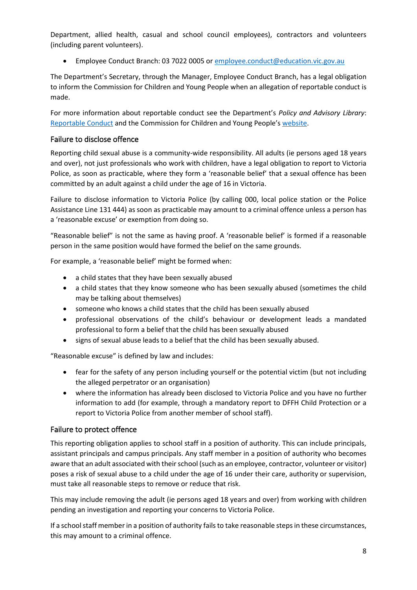Department, allied health, casual and school council employees), contractors and volunteers (including parent volunteers).

• Employee Conduct Branch: 03 7022 0005 o[r employee.conduct@education.vic.gov.au](mailto:employee.conduct@education.vic.gov.au)

The Department's Secretary, through the Manager, Employee Conduct Branch, has a legal obligation to inform the Commission for Children and Young People when an allegation of reportable conduct is made.

For more information about reportable conduct see the Department's *Policy and Advisory Library*: [Reportable Conduct](https://www2.education.vic.gov.au/pal/reportable-conduct-scheme/policy) and the Commission for Children and Young People's [website.](https://ccyp.vic.gov.au/reportable-conduct-scheme/)

### Failure to disclose offence

Reporting child sexual abuse is a community-wide responsibility. All adults (ie persons aged 18 years and over), not just professionals who work with children, have a legal obligation to report to Victoria Police, as soon as practicable, where they form a 'reasonable belief' that a sexual offence has been committed by an adult against a child under the age of 16 in Victoria.

Failure to disclose information to Victoria Police (by calling 000, local police station or the Police Assistance Line 131 444) as soon as practicable may amount to a criminal offence unless a person has a 'reasonable excuse' or exemption from doing so.

"Reasonable belief" is not the same as having proof. A 'reasonable belief' is formed if a reasonable person in the same position would have formed the belief on the same grounds.

For example, a 'reasonable belief' might be formed when:

- a child states that they have been sexually abused
- a child states that they know someone who has been sexually abused (sometimes the child may be talking about themselves)
- someone who knows a child states that the child has been sexually abused
- professional observations of the child's behaviour or development leads a mandated professional to form a belief that the child has been sexually abused
- signs of sexual abuse leads to a belief that the child has been sexually abused.

"Reasonable excuse" is defined by law and includes:

- fear for the safety of any person including yourself or the potential victim (but not including the alleged perpetrator or an organisation)
- where the information has already been disclosed to Victoria Police and you have no further information to add (for example, through a mandatory report to DFFH Child Protection or a report to Victoria Police from another member of school staff).

### Failure to protect offence

This reporting obligation applies to school staff in a position of authority. This can include principals, assistant principals and campus principals. Any staff member in a position of authority who becomes aware that an adult associated with their school (such as an employee, contractor, volunteer or visitor) poses a risk of sexual abuse to a child under the age of 16 under their care, authority or supervision, must take all reasonable steps to remove or reduce that risk.

This may include removing the adult (ie persons aged 18 years and over) from working with children pending an investigation and reporting your concerns to Victoria Police.

If a school staff member in a position of authority fails to take reasonable steps in these circumstances, this may amount to a criminal offence.